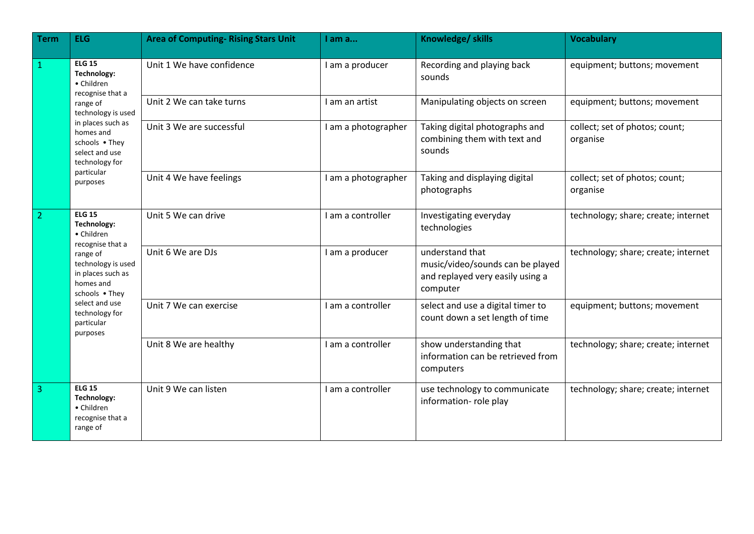| <b>Term</b>    | <b>ELG</b>                                                                                                                                                                                                         | <b>Area of Computing- Rising Stars Unit</b> | I am a              | Knowledge/ skills                                                                                   | <b>Vocabulary</b>                          |
|----------------|--------------------------------------------------------------------------------------------------------------------------------------------------------------------------------------------------------------------|---------------------------------------------|---------------------|-----------------------------------------------------------------------------------------------------|--------------------------------------------|
| $\mathbf{1}$   | <b>ELG 15</b><br>Technology:<br>• Children<br>recognise that a<br>range of<br>technology is used<br>in places such as<br>homes and<br>schools . They<br>select and use<br>technology for<br>particular<br>purposes | Unit 1 We have confidence                   | I am a producer     | Recording and playing back<br>sounds                                                                | equipment; buttons; movement               |
|                |                                                                                                                                                                                                                    | Unit 2 We can take turns                    | I am an artist      | Manipulating objects on screen                                                                      | equipment; buttons; movement               |
|                |                                                                                                                                                                                                                    | Unit 3 We are successful                    | I am a photographer | Taking digital photographs and<br>combining them with text and<br>sounds                            | collect; set of photos; count;<br>organise |
|                |                                                                                                                                                                                                                    | Unit 4 We have feelings                     | I am a photographer | Taking and displaying digital<br>photographs                                                        | collect; set of photos; count;<br>organise |
| $\overline{2}$ | <b>ELG 15</b><br>Technology:<br>• Children<br>recognise that a<br>range of<br>technology is used<br>in places such as<br>homes and<br>schools . They<br>select and use<br>technology for<br>particular<br>purposes | Unit 5 We can drive                         | I am a controller   | Investigating everyday<br>technologies                                                              | technology; share; create; internet        |
|                |                                                                                                                                                                                                                    | Unit 6 We are DJs                           | I am a producer     | understand that<br>music/video/sounds can be played<br>and replayed very easily using a<br>computer | technology; share; create; internet        |
|                |                                                                                                                                                                                                                    | Unit 7 We can exercise                      | I am a controller   | select and use a digital timer to<br>count down a set length of time                                | equipment; buttons; movement               |
|                |                                                                                                                                                                                                                    | Unit 8 We are healthy                       | I am a controller   | show understanding that<br>information can be retrieved from<br>computers                           | technology; share; create; internet        |
| 3              | <b>ELG 15</b><br>Technology:<br>• Children<br>recognise that a<br>range of                                                                                                                                         | Unit 9 We can listen                        | I am a controller   | use technology to communicate<br>information- role play                                             | technology; share; create; internet        |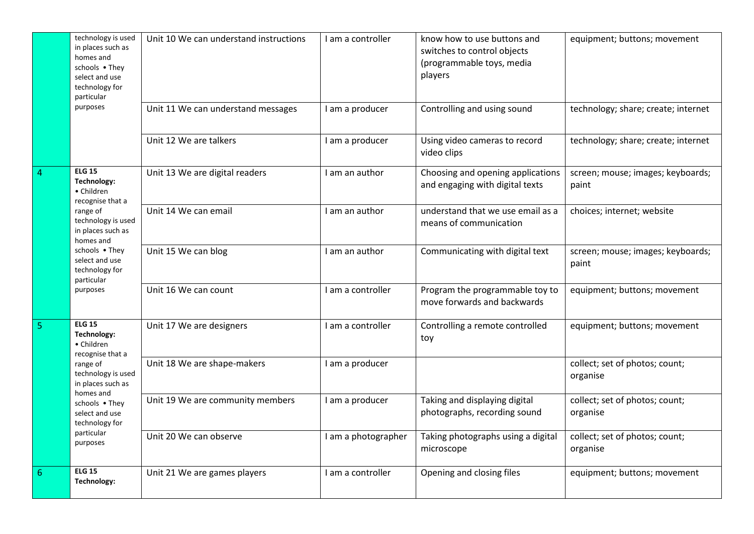|                | technology is used<br>in places such as<br>homes and<br>schools . They<br>select and use<br>technology for<br>particular<br>purposes                                                                               | Unit 10 We can understand instructions | I am a controller   | know how to use buttons and<br>switches to control objects<br>(programmable toys, media<br>players | equipment; buttons; movement               |
|----------------|--------------------------------------------------------------------------------------------------------------------------------------------------------------------------------------------------------------------|----------------------------------------|---------------------|----------------------------------------------------------------------------------------------------|--------------------------------------------|
|                |                                                                                                                                                                                                                    | Unit 11 We can understand messages     | I am a producer     | Controlling and using sound                                                                        | technology; share; create; internet        |
|                |                                                                                                                                                                                                                    | Unit 12 We are talkers                 | I am a producer     | Using video cameras to record<br>video clips                                                       | technology; share; create; internet        |
| $\overline{4}$ | <b>ELG 15</b><br>Technology:<br>• Children<br>recognise that a<br>range of<br>technology is used<br>in places such as<br>homes and<br>schools • They<br>select and use<br>technology for<br>particular<br>purposes | Unit 13 We are digital readers         | I am an author      | Choosing and opening applications<br>and engaging with digital texts                               | screen; mouse; images; keyboards;<br>paint |
|                |                                                                                                                                                                                                                    | Unit 14 We can email                   | I am an author      | understand that we use email as a<br>means of communication                                        | choices; internet; website                 |
|                |                                                                                                                                                                                                                    | Unit 15 We can blog                    | I am an author      | Communicating with digital text                                                                    | screen; mouse; images; keyboards;<br>paint |
|                |                                                                                                                                                                                                                    | Unit 16 We can count                   | I am a controller   | Program the programmable toy to<br>move forwards and backwards                                     | equipment; buttons; movement               |
| $\overline{5}$ | <b>ELG 15</b><br>Technology:<br>• Children<br>recognise that a<br>range of<br>technology is used<br>in places such as<br>homes and<br>schools . They<br>select and use<br>technology for<br>particular<br>purposes | Unit 17 We are designers               | I am a controller   | Controlling a remote controlled<br>toy                                                             | equipment; buttons; movement               |
|                |                                                                                                                                                                                                                    | Unit 18 We are shape-makers            | I am a producer     |                                                                                                    | collect; set of photos; count;<br>organise |
|                |                                                                                                                                                                                                                    | Unit 19 We are community members       | I am a producer     | Taking and displaying digital<br>photographs, recording sound                                      | collect; set of photos; count;<br>organise |
|                |                                                                                                                                                                                                                    | Unit 20 We can observe                 | I am a photographer | Taking photographs using a digital<br>microscope                                                   | collect; set of photos; count;<br>organise |
| 6              | <b>ELG 15</b><br>Technology:                                                                                                                                                                                       | Unit 21 We are games players           | I am a controller   | Opening and closing files                                                                          | equipment; buttons; movement               |